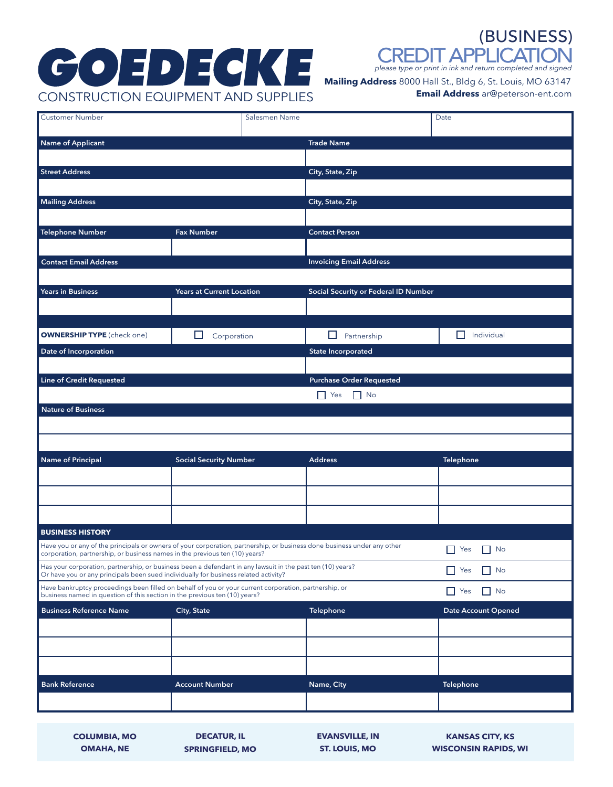# **GOEDECKE** CONSTRUCTION EQUIPMENT AND SUPPLIES

CREDIT APPLICATION (BUSINESS)

*please type or print in ink and return completed and signed*

**Mailing Address** 8000 Hall St., Bldg 6, St. Louis, MO 63147

**Email Address** ar@peterson-ent.com

| <b>Customer Number</b>                                                                                                                                                                                 | Salesmen Name                    |  |                                      | Date                       |  |
|--------------------------------------------------------------------------------------------------------------------------------------------------------------------------------------------------------|----------------------------------|--|--------------------------------------|----------------------------|--|
| <b>Name of Applicant</b>                                                                                                                                                                               |                                  |  | <b>Trade Name</b>                    |                            |  |
| <b>Street Address</b>                                                                                                                                                                                  |                                  |  | City, State, Zip                     |                            |  |
|                                                                                                                                                                                                        |                                  |  |                                      |                            |  |
| <b>Mailing Address</b>                                                                                                                                                                                 |                                  |  | City, State, Zip                     |                            |  |
|                                                                                                                                                                                                        |                                  |  |                                      |                            |  |
| <b>Telephone Number</b>                                                                                                                                                                                | <b>Fax Number</b>                |  | <b>Contact Person</b>                |                            |  |
|                                                                                                                                                                                                        |                                  |  |                                      |                            |  |
| <b>Contact Email Address</b>                                                                                                                                                                           |                                  |  | <b>Invoicing Email Address</b>       |                            |  |
| <b>Years in Business</b>                                                                                                                                                                               | <b>Years at Current Location</b> |  | Social Security or Federal ID Number |                            |  |
|                                                                                                                                                                                                        |                                  |  |                                      |                            |  |
|                                                                                                                                                                                                        |                                  |  |                                      |                            |  |
| <b>OWNERSHIP TYPE</b> (check one)                                                                                                                                                                      | ப<br>Corporation                 |  | $\Box$<br>Partnership                | Individual<br>$\Box$       |  |
| Date of Incorporation                                                                                                                                                                                  |                                  |  | <b>State Incorporated</b>            |                            |  |
|                                                                                                                                                                                                        |                                  |  |                                      |                            |  |
| <b>Line of Credit Requested</b>                                                                                                                                                                        |                                  |  | <b>Purchase Order Requested</b>      |                            |  |
|                                                                                                                                                                                                        |                                  |  | $\Box$ Yes<br>$\Box$ No              |                            |  |
| <b>Nature of Business</b>                                                                                                                                                                              |                                  |  |                                      |                            |  |
|                                                                                                                                                                                                        |                                  |  |                                      |                            |  |
|                                                                                                                                                                                                        |                                  |  |                                      |                            |  |
| <b>Name of Principal</b>                                                                                                                                                                               | <b>Social Security Number</b>    |  | <b>Address</b>                       | <b>Telephone</b>           |  |
|                                                                                                                                                                                                        |                                  |  |                                      |                            |  |
|                                                                                                                                                                                                        |                                  |  |                                      |                            |  |
|                                                                                                                                                                                                        |                                  |  |                                      |                            |  |
| <b>BUSINESS HISTORY</b>                                                                                                                                                                                |                                  |  |                                      |                            |  |
| Have you or any of the principals or owners of your corporation, partnership, or business done business under any other<br>corporation, partnership, or business names in the previous ten (10) years? |                                  |  |                                      | $\Box$ Yes<br>$\Box$ No    |  |
| Has your corporation, partnership, or business been a defendant in any lawsuit in the past ten (10) years?<br>Or have you or any principals been sued individually for business related activity?      |                                  |  |                                      | $\Box$ Yes<br>$\Box$ No    |  |
| Have bankruptcy proceedings been filled on behalf of you or your current corporation, partnership, or<br>business named in question of this section in the previous ten (10) years?                    |                                  |  |                                      | $\Box$ No<br>$\Box$ Yes    |  |
| <b>Business Reference Name</b>                                                                                                                                                                         | <b>City, State</b>               |  | <b>Telephone</b>                     | <b>Date Account Opened</b> |  |
|                                                                                                                                                                                                        |                                  |  |                                      |                            |  |
|                                                                                                                                                                                                        |                                  |  |                                      |                            |  |
|                                                                                                                                                                                                        |                                  |  |                                      |                            |  |
| <b>Bank Reference</b>                                                                                                                                                                                  | <b>Account Number</b>            |  | Name, City                           | <b>Telephone</b>           |  |
|                                                                                                                                                                                                        |                                  |  |                                      |                            |  |
|                                                                                                                                                                                                        |                                  |  |                                      |                            |  |

**COLUMBIA, MO OMAHA, NE**

**SPRINGFIELD, MO**

**ST. LOUIS, MO EVANSVILLE, IN**

**DECATUR, IL EVANSVILLE, IN KANSAS CITY, KS WISCONSIN RAPIDS, WI**